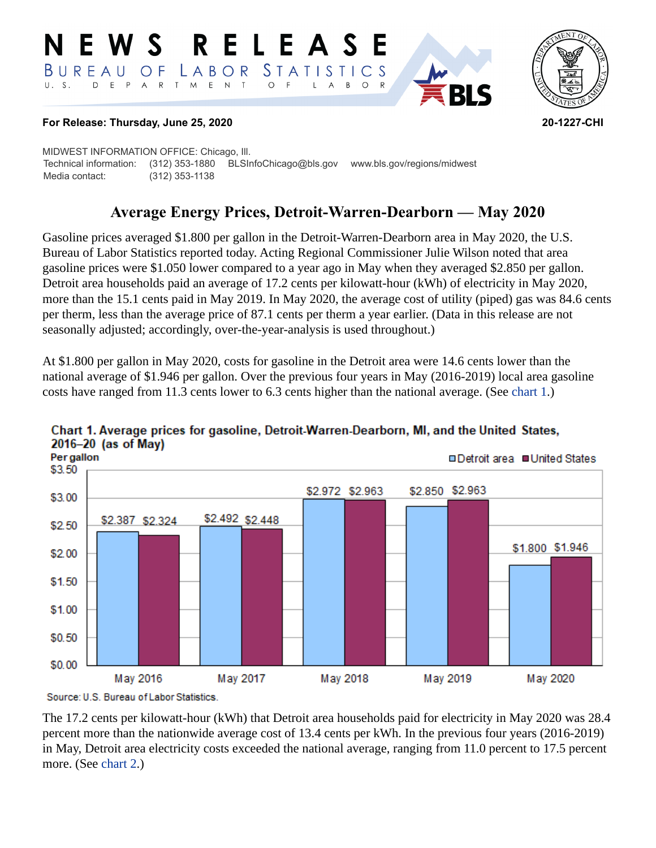#### RELEASE **N E W S** LABOR STATISTICS BUREAU OF D E P A R T M E N T  $\circ$  $U. S.$  $F$  $\mathsf{L}$  $\overline{A}$  $B$ O R



#### **For Release: Thursday, June 25, 2020 20-1227-CHI**

MIDWEST INFORMATION OFFICE: Chicago, Ill. Technical information: (312) 353-1880 BLSInfoChicago@bls.gov www.bls.gov/regions/midwest Media contact: (312) 353-1138

# **Average Energy Prices, Detroit-Warren-Dearborn — May 2020**

Gasoline prices averaged \$1.800 per gallon in the Detroit-Warren-Dearborn area in May 2020, the U.S. Bureau of Labor Statistics reported today. Acting Regional Commissioner Julie Wilson noted that area gasoline prices were \$1.050 lower compared to a year ago in May when they averaged \$2.850 per gallon. Detroit area households paid an average of 17.2 cents per kilowatt-hour (kWh) of electricity in May 2020, more than the 15.1 cents paid in May 2019. In May 2020, the average cost of utility (piped) gas was 84.6 cents per therm, less than the average price of 87.1 cents per therm a year earlier. (Data in this release are not seasonally adjusted; accordingly, over-the-year-analysis is used throughout.)

At \$1.800 per gallon in May 2020, costs for gasoline in the Detroit area were 14.6 cents lower than the national average of \$1.946 per gallon. Over the previous four years in May (2016-2019) local area gasoline costs have ranged from 11.3 cents lower to 6.3 cents higher than the national average. (See [chart 1.](#page-0-0))



#### <span id="page-0-0"></span>Chart 1. Average prices for gasoline, Detroit-Warren-Dearborn, MI, and the United States,  $2016 - 20$  (as of May)

The 17.2 cents per kilowatt-hour (kWh) that Detroit area households paid for electricity in May 2020 was 28.4 percent more than the nationwide average cost of 13.4 cents per kWh. In the previous four years (2016-2019) in May, Detroit area electricity costs exceeded the national average, ranging from 11.0 percent to 17.5 percent more. (See [chart 2.](#page-1-0))

Source: U.S. Bureau of Labor Statistics.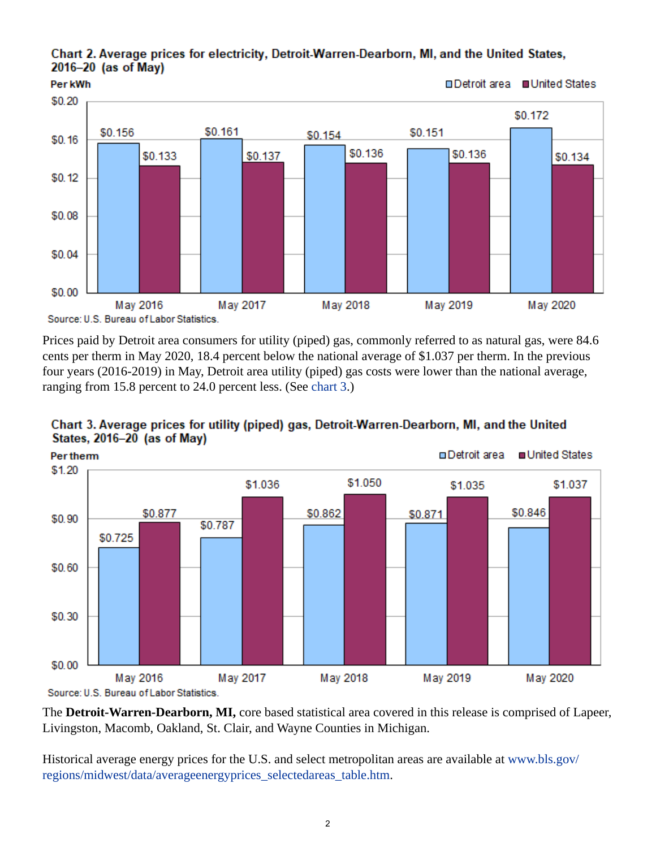#### <span id="page-1-0"></span>Chart 2. Average prices for electricity, Detroit-Warren-Dearborn, MI, and the United States, 2016-20 (as of May)



Prices paid by Detroit area consumers for utility (piped) gas, commonly referred to as natural gas, were 84.6 cents per therm in May 2020, 18.4 percent below the national average of \$1.037 per therm. In the previous four years (2016-2019) in May, Detroit area utility (piped) gas costs were lower than the national average, ranging from 15.8 percent to 24.0 percent less. (See [chart 3.](#page-1-1))



## <span id="page-1-1"></span>Chart 3. Average prices for utility (piped) gas, Detroit-Warren-Dearborn, MI, and the United States, 2016-20 (as of May)

The **Detroit-Warren-Dearborn, MI,** core based statistical area covered in this release is comprised of Lapeer, Livingston, Macomb, Oakland, St. Clair, and Wayne Counties in Michigan.

Historical average energy prices for the U.S. and select metropolitan areas are available at [www.bls.gov/](https://www.bls.gov/regions/midwest/data/averageenergyprices_selectedareas_table.htm) [regions/midwest/data/averageenergyprices\\_selectedareas\\_table.htm.](https://www.bls.gov/regions/midwest/data/averageenergyprices_selectedareas_table.htm)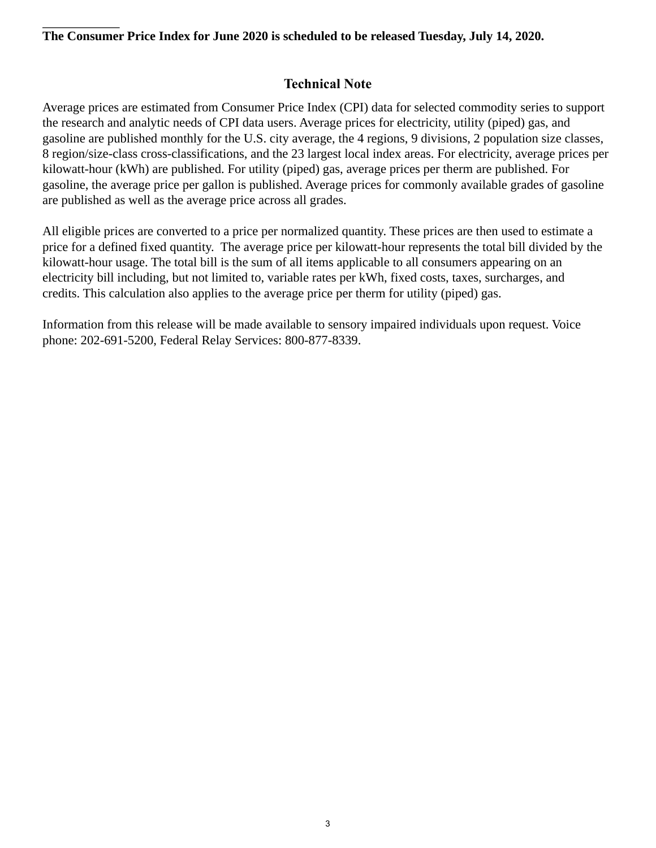#### **The Consumer Price Index for June 2020 is scheduled to be released Tuesday, July 14, 2020.**

### **Technical Note**

Average prices are estimated from Consumer Price Index (CPI) data for selected commodity series to support the research and analytic needs of CPI data users. Average prices for electricity, utility (piped) gas, and gasoline are published monthly for the U.S. city average, the 4 regions, 9 divisions, 2 population size classes, 8 region/size-class cross-classifications, and the 23 largest local index areas. For electricity, average prices per kilowatt-hour (kWh) are published. For utility (piped) gas, average prices per therm are published. For gasoline, the average price per gallon is published. Average prices for commonly available grades of gasoline are published as well as the average price across all grades.

All eligible prices are converted to a price per normalized quantity. These prices are then used to estimate a price for a defined fixed quantity. The average price per kilowatt-hour represents the total bill divided by the kilowatt-hour usage. The total bill is the sum of all items applicable to all consumers appearing on an electricity bill including, but not limited to, variable rates per kWh, fixed costs, taxes, surcharges, and credits. This calculation also applies to the average price per therm for utility (piped) gas.

Information from this release will be made available to sensory impaired individuals upon request. Voice phone: 202-691-5200, Federal Relay Services: 800-877-8339.